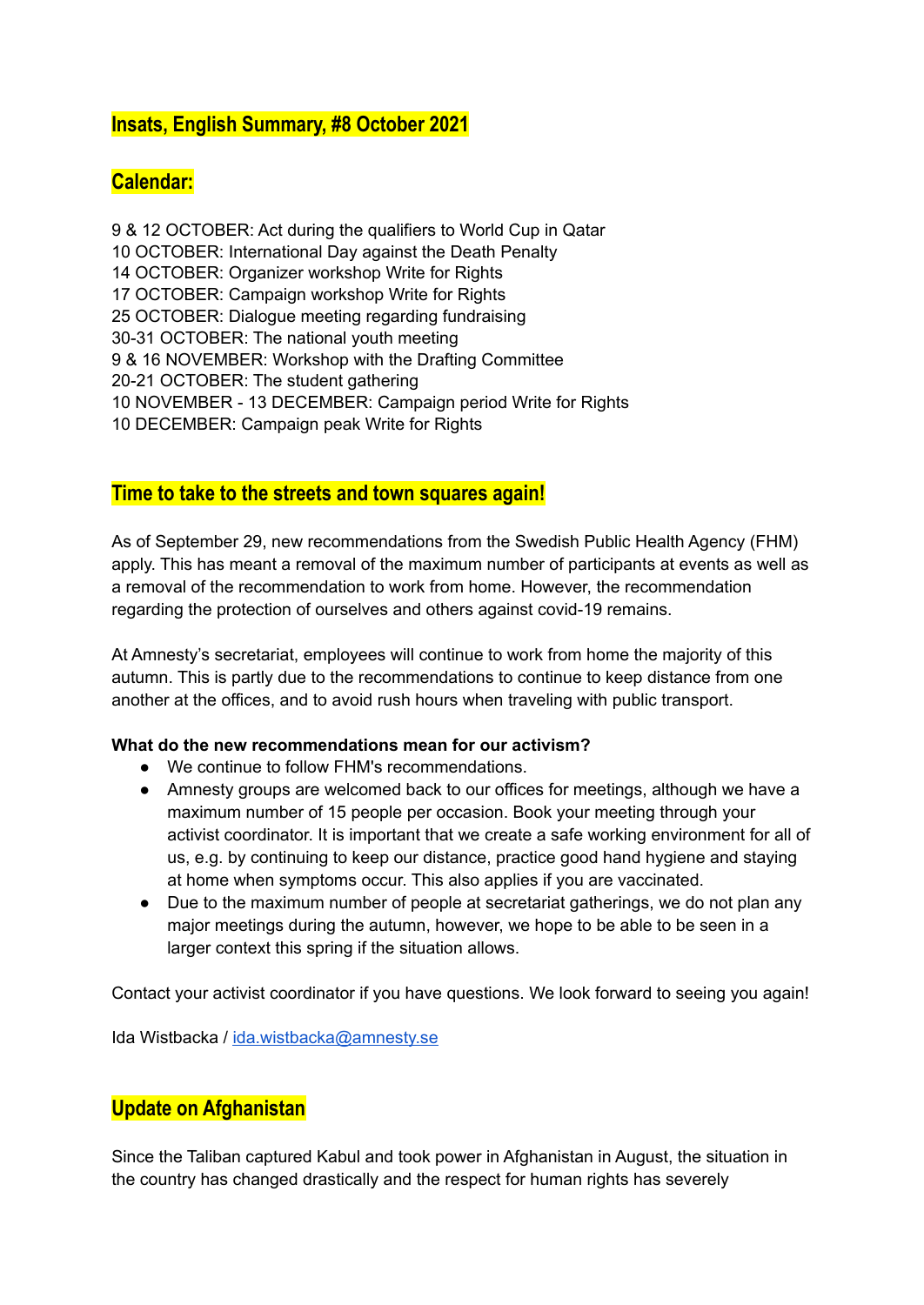# **Insats, English Summary, #8 October 2021**

# **Calendar:**

 & 12 OCTOBER: Act during the qualifiers to World Cup in Qatar OCTOBER: International Day against the Death Penalty OCTOBER: Organizer workshop Write for Rights OCTOBER: Campaign workshop Write for Rights OCTOBER: Dialogue meeting regarding fundraising 30-31 OCTOBER: The national youth meeting & 16 NOVEMBER: Workshop with the Drafting Committee 20-21 OCTOBER: The student gathering NOVEMBER - 13 DECEMBER: Campaign period Write for Rights DECEMBER: Campaign peak Write for Rights

# **Time to take to the streets and town squares again!**

As of September 29, new recommendations from the Swedish Public Health Agency (FHM) apply. This has meant a removal of the maximum number of participants at events as well as a removal of the recommendation to work from home. However, the recommendation regarding the protection of ourselves and others against covid-19 remains.

At Amnesty's secretariat, employees will continue to work from home the majority of this autumn. This is partly due to the recommendations to continue to keep distance from one another at the offices, and to avoid rush hours when traveling with public transport.

#### **What do the new recommendations mean for our activism?**

- We continue to follow FHM's recommendations.
- Amnesty groups are welcomed back to our offices for meetings, although we have a maximum number of 15 people per occasion. Book your meeting through your activist coordinator. It is important that we create a safe working environment for all of us, e.g. by continuing to keep our distance, practice good hand hygiene and staying at home when symptoms occur. This also applies if you are vaccinated.
- Due to the maximum number of people at secretariat gatherings, we do not plan any major meetings during the autumn, however, we hope to be able to be seen in a larger context this spring if the situation allows.

Contact your activist coordinator if you have questions. We look forward to seeing you again!

Ida Wistbacka / [ida.wistbacka@amnesty.se](mailto:ida.wistbacka@amnesty.se)

# **Update on Afghanistan**

Since the Taliban captured Kabul and took power in Afghanistan in August, the situation in the country has changed drastically and the respect for human rights has severely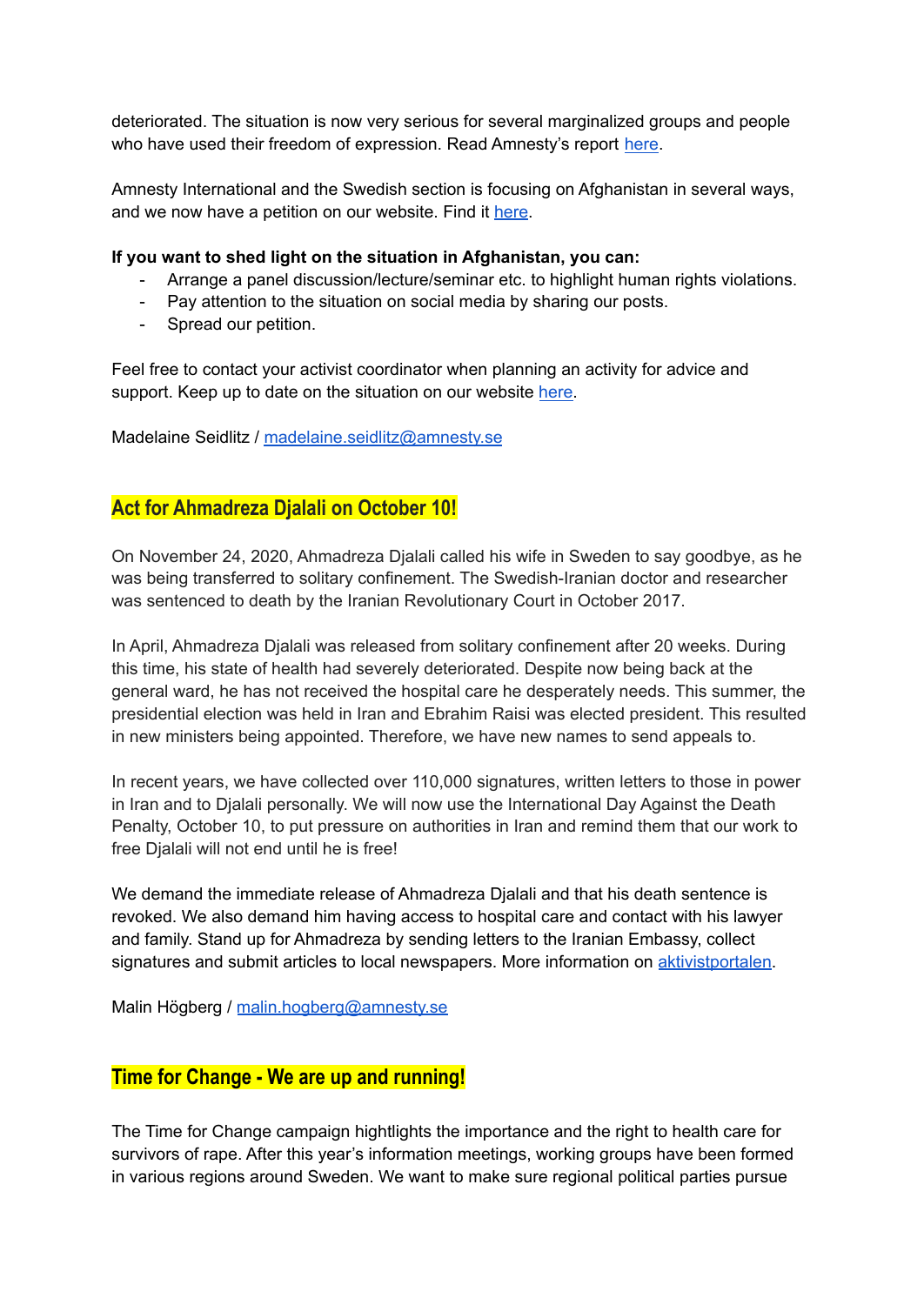deteriorated. The situation is now very serious for several marginalized groups and people who have used their freedom of expression. Read Amnesty's report [here.](https://www.amnesty.org/en/documents/asa11/4727/2021/en/)

Amnesty International and the Swedish section is focusing on Afghanistan in several ways, and we now have a petition on our website. Find it [here.](https://www.amnesty.se/agerahub/satt-stopp-fortrycket-i-afghanistan/)

#### **If you want to shed light on the situation in Afghanistan, you can:**

- Arrange a panel discussion/lecture/seminar etc. to highlight human rights violations.
- Pay attention to the situation on social media by sharing our posts.
- Spread our petition.

Feel free to contact your activist coordinator when planning an activity for advice and support. Keep up to date on the situation on our website [here.](https://www.amnesty.se/aktuellt/vad-hander-i-och-om-afghanistan/)

Madelaine Seidlitz / [madelaine.seidlitz@amnesty.se](mailto:madelaine.seidlitz@amnesty.se)

# **Act for Ahmadreza Djalali on October 10!**

On November 24, 2020, Ahmadreza Djalali called his wife in Sweden to say goodbye, as he was being transferred to solitary confinement. The Swedish-Iranian doctor and researcher was sentenced to death by the Iranian Revolutionary Court in October 2017.

In April, Ahmadreza Djalali was released from solitary confinement after 20 weeks. During this time, his state of health had severely deteriorated. Despite now being back at the general ward, he has not received the hospital care he desperately needs. This summer, the presidential election was held in Iran and Ebrahim Raisi was elected president. This resulted in new ministers being appointed. Therefore, we have new names to send appeals to.

In recent years, we have collected over 110,000 signatures, written letters to those in power in Iran and to Djalali personally. We will now use the International Day Against the Death Penalty, October 10, to put pressure on authorities in Iran and remind them that our work to free Djalali will not end until he is free!

We demand the immediate release of Ahmadreza Djalali and that his death sentence is revoked. We also demand him having access to hospital care and contact with his lawyer and family. Stand up for Ahmadreza by sending letters to the Iranian Embassy, collect signatures and submit articles to local newspapers. More information on [aktivistportalen.](https://aktivism.amnesty.se/dodsstraff/)

Malin Högberg / [malin.hogberg@amnesty.se](mailto:malin.hogberg@amnesty.se)

# **Time for Change - We are up and running!**

The Time for Change campaign hightlights the importance and the right to health care for survivors of rape. After this year's information meetings, working groups have been formed in various regions around Sweden. We want to make sure regional political parties pursue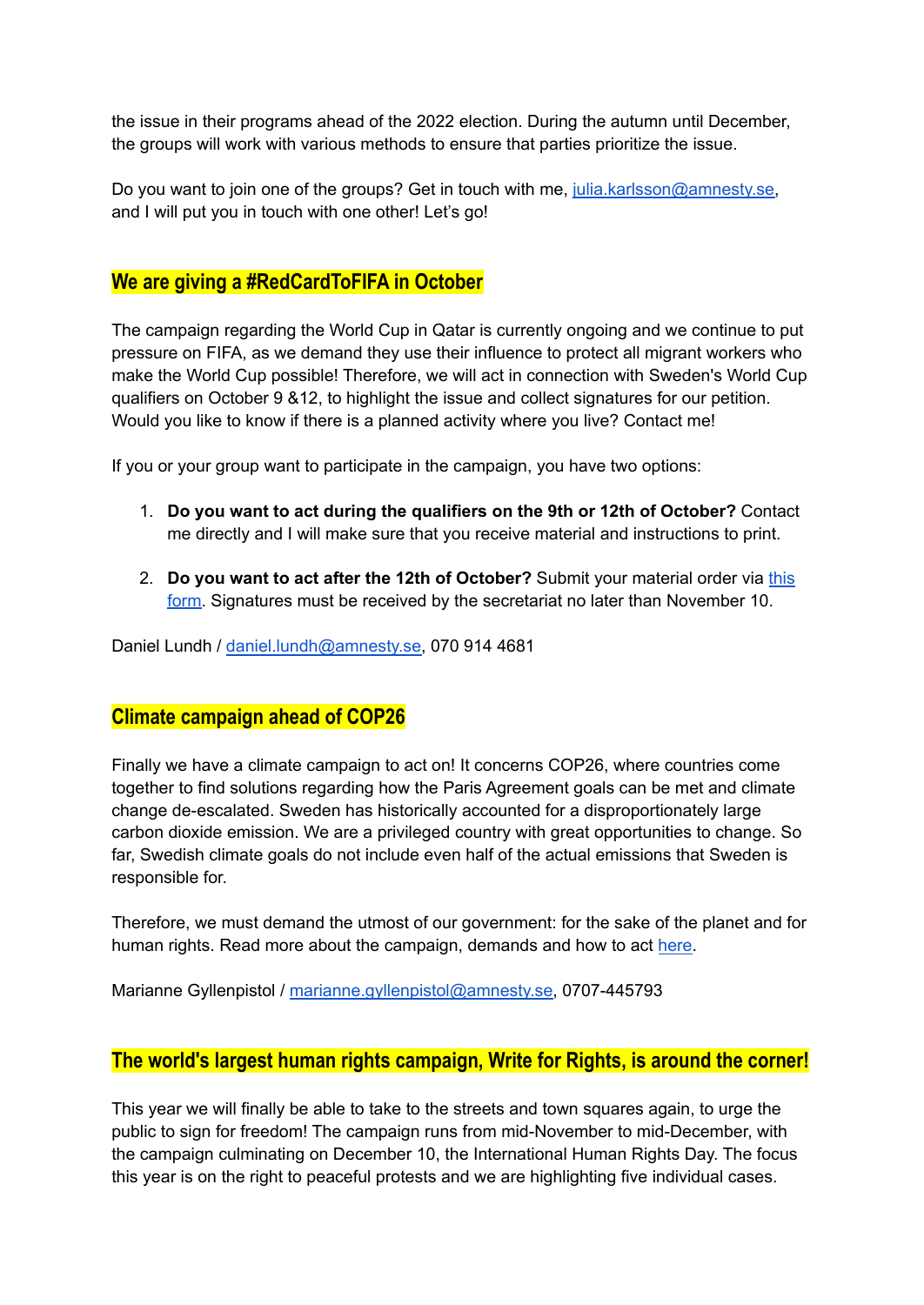the issue in their programs ahead of the 2022 election. During the autumn until December, the groups will work with various methods to ensure that parties prioritize the issue.

Do you want to join one of the groups? Get in touch with me, [julia.karlsson@amnesty.se,](mailto:julia.karlsson@amnesty.se) and I will put you in touch with one other! Let's go!

# **We are giving a #RedCardToFIFA in October**

The campaign regarding the World Cup in Qatar is currently ongoing and we continue to put pressure on FIFA, as we demand they use their influence to protect all migrant workers who make the World Cup possible! Therefore, we will act in connection with Sweden's World Cup qualifiers on October 9 &12, to highlight the issue and collect signatures for our petition. Would you like to know if there is a planned activity where you live? Contact me!

If you or your group want to participate in the campaign, you have two options:

- 1. **Do you want to act during the qualifiers on the 9th or 12th of October?** Contact me directly and I will make sure that you receive material and instructions to print.
- 2. **Do you want to act after the 12th of October?** Submit your material order via [this](https://aktivism.amnesty.se/forms/materialbestallning-vm-kvalmatcherna-oktober/) [form.](https://aktivism.amnesty.se/forms/materialbestallning-vm-kvalmatcherna-oktober/) Signatures must be received by the secretariat no later than November 10.

Daniel Lundh / [daniel.lundh@amnesty.se,](mailto:daniel.lundh@amnesty.se) 070 914 4681

# **Climate campaign ahead of COP26**

Finally we have a climate campaign to act on! It concerns COP26, where countries come together to find solutions regarding how the Paris Agreement goals can be met and climate change de-escalated. Sweden has historically accounted for a disproportionately large carbon dioxide emission. We are a privileged country with great opportunities to change. So far, Swedish climate goals do not include even half of the actual emissions that Sweden is responsible for.

Therefore, we must demand the utmost of our government: for the sake of the planet and for human rights. Read more about the campaign, demands and how to act [here.](https://aktivism.amnesty.se/delta-i-en-aktion/klimataktion-cop26/)

Marianne Gyllenpistol / [marianne.gyllenpistol@amnesty.se,](mailto:marianne.gyllenpistol@amnesty.se) 0707-445793

## **The world's largest human rights campaign, Write for Rights, is around the corner!**

This year we will finally be able to take to the streets and town squares again, to urge the public to sign for freedom! The campaign runs from mid-November to mid-December, with the campaign culminating on December 10, the International Human Rights Day. The focus this year is on the right to peaceful protests and we are highlighting five individual cases.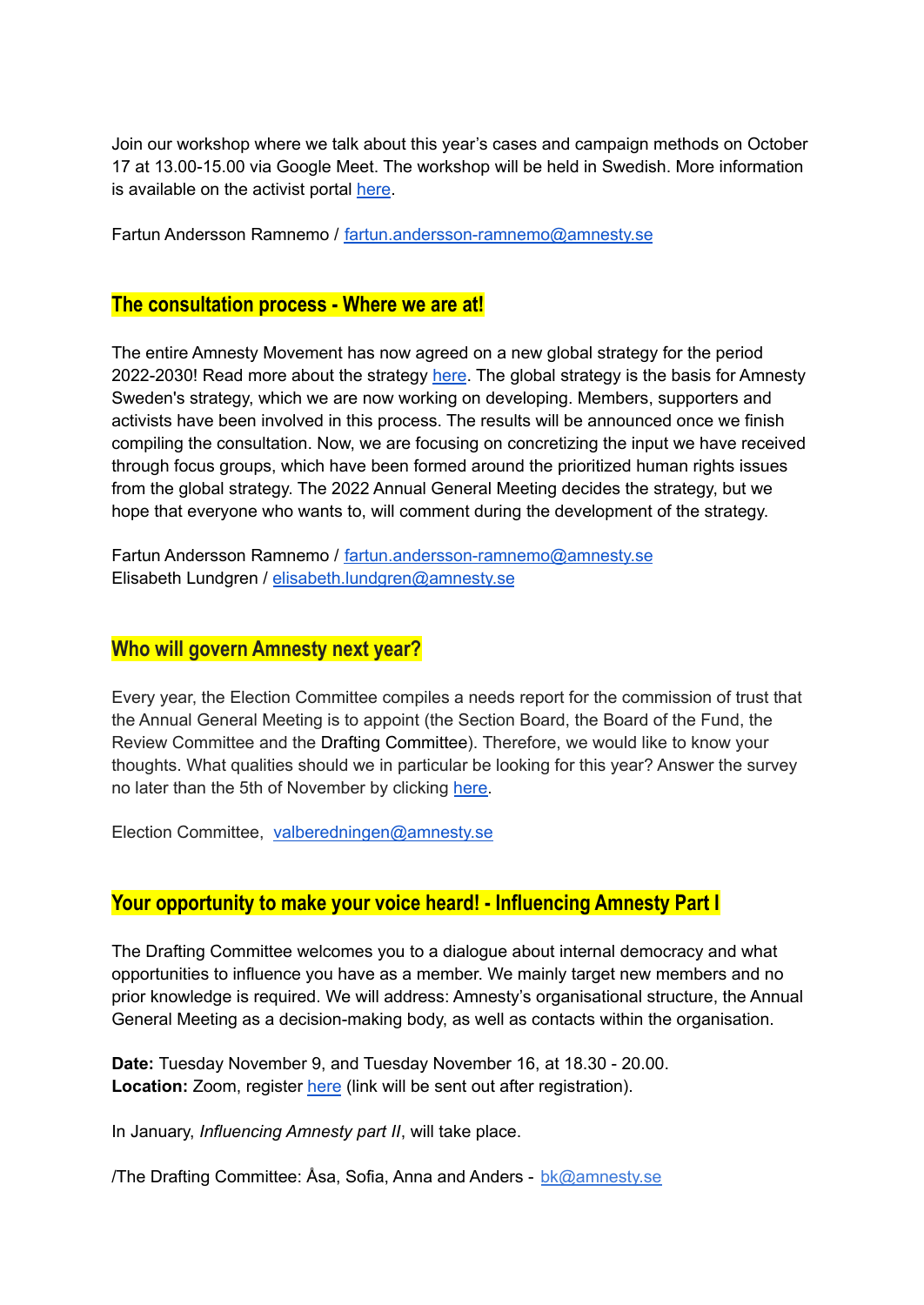Join our workshop where we talk about this year's cases and campaign methods on October 17 at 13.00-15.00 via Google Meet. The workshop will be held in Swedish. More information is available on the activist portal [here](https://aktivism.amnesty.se/delta-i-en-aktion/skrivforfrihet/).

Fartun Andersson Ramnemo / [fartun.andersson-ramnemo@amnesty.se](mailto:fartun.andersson-ramnemo@amnesty.se)

### **The consultation process - Where we are at!**

The entire Amnesty Movement has now agreed on a new global strategy for the period 2022-2030! Read more about the strategy [here](https://aktivism.amnesty.se/uploads/cms_page_media/641/AMNESTY_INTERNATIONAL_STRATEGIC_FRAMEWORK_POL_5036392021_EN_GneGUSa.pdf). The global strategy is the basis for Amnesty Sweden's strategy, which we are now working on developing. Members, supporters and activists have been involved in this process. The results will be announced once we finish compiling the consultation. Now, we are focusing on concretizing the input we have received through focus groups, which have been formed around the prioritized human rights issues from the global strategy. The 2022 Annual General Meeting decides the strategy, but we hope that everyone who wants to, will comment during the development of the strategy.

Fartun Andersson Ramnemo / [fartun.andersson-ramnemo@amnesty.se](mailto:fartun.andersson-ramnemo@amnesty.se) Elisabeth Lundgren / [elisabeth.lundgren@amnesty.se](mailto:elisabeth.lundgren@amnesty.se)

## **Who will govern Amnesty next year?**

Every year, the Election Committee compiles a needs report for the commission of trust that the Annual General Meeting is to appoint (the Section Board, the Board of the Fund, the Review Committee and the Drafting Committee). Therefore, we would like to know your thoughts. What qualities should we in particular be looking for this year? Answer the survey no later than the 5th of November by clicking [here.](https://docs.google.com/forms/d/e/1FAIpQLScA2RCuv0twnlMDaP4ARS619f5JH8RCU1xoh-2nNLXHJzPP4Q/viewform)

Election Committee, [valberedningen@amnesty.se](mailto:valberedningen@amnesty.se)

# **Your opportunity to make your voice heard! - Influencing Amnesty Part I**

The Drafting Committee welcomes you to a dialogue about internal democracy and what opportunities to influence you have as a member. We mainly target new members and no prior knowledge is required. We will address: Amnesty's organisational structure, the Annual General Meeting as a decision-making body, as well as contacts within the organisation.

**Date:** Tuesday November 9, and Tuesday November 16, at 18.30 - 20.00. **Location:** Zoom, register [here](https://docs.google.com/forms/d/e/1FAIpQLSc-IIWf98ikRkTWldouVEu0XiVzrunMThTtQShOoSb3l7KBFg/viewform) (link will be sent out after registration).

In January, *Influencing Amnesty part II*, will take place.

/The Drafting Committee: Åsa, Sofia, Anna and Anders - [bk@amnesty.se](mailto:bk@amnesty.se)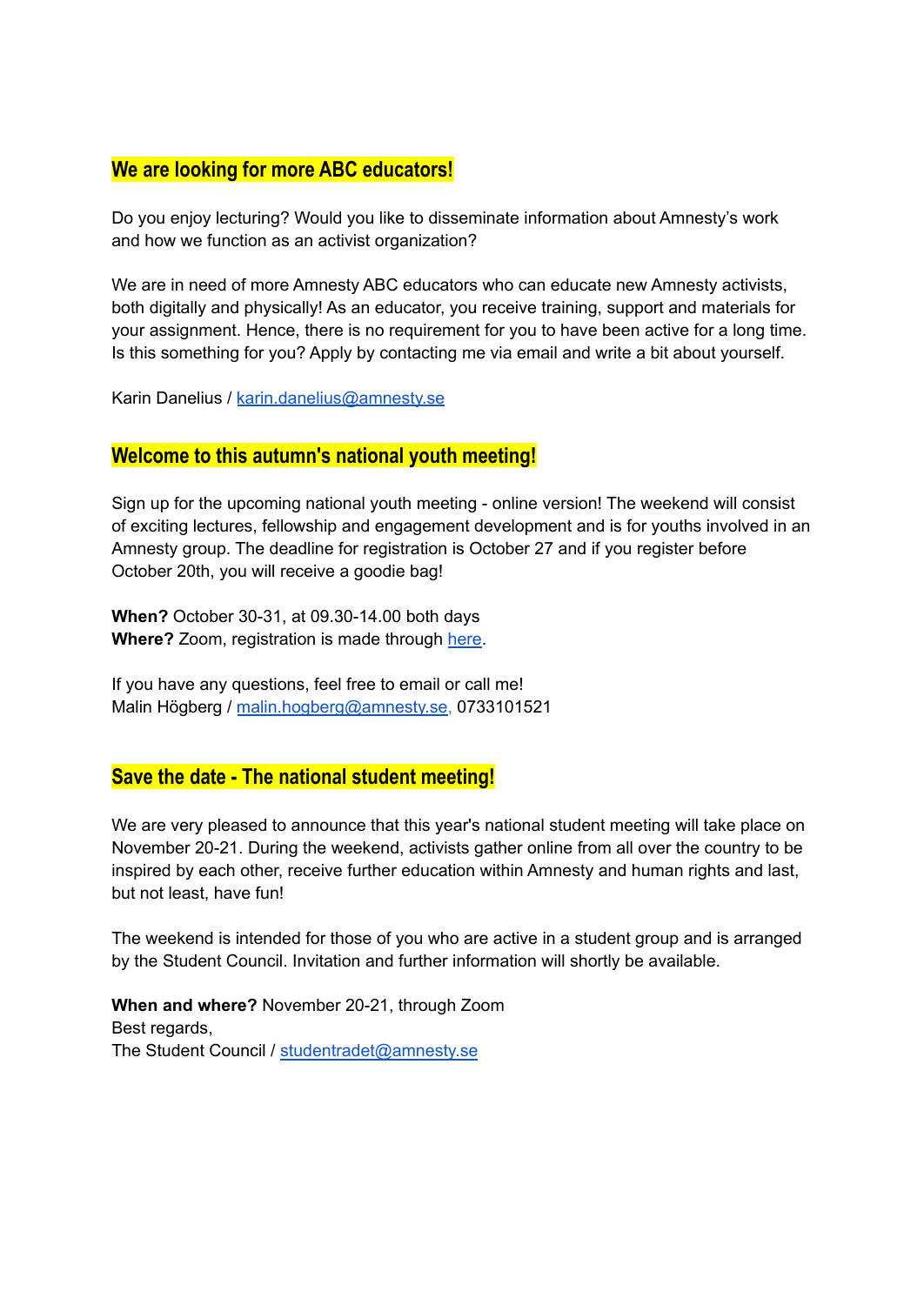# **We are looking for more ABC educators!**

Do you enjoy lecturing? Would you like to disseminate information about Amnesty's work and how we function as an activist organization?

We are in need of more Amnesty ABC educators who can educate new Amnesty activists, both digitally and physically! As an educator, you receive training, support and materials for your assignment. Hence, there is no requirement for you to have been active for a long time. Is this something for you? Apply by contacting me via email and write a bit about yourself.

Karin Danelius / [karin.danelius@amnesty.se](mailto:karin.danelius@amnesty.se)

### **Welcome to this autumn's national youth meeting!**

Sign up for the upcoming national youth meeting - online version! The weekend will consist of exciting lectures, fellowship and engagement development and is for youths involved in an Amnesty group. The deadline for registration is October 27 and if you register before October 20th, you will receive a goodie bag!

**When?** October 30-31, at 09.30-14.00 both days **Where?** Zoom, registration is made through [here.](https://aktivism.amnesty.se/utbildningar-och-moten/ungdomstraffar/)

If you have any questions, feel free to email or call me! Malin Högberg / [malin.hogberg@amnesty.se,](mailto:malin.hogberg@amnesty.se) 0733101521

## **Save the date - The national student meeting!**

We are very pleased to announce that this year's national student meeting will take place on November 20-21. During the weekend, activists gather online from all over the country to be inspired by each other, receive further education within Amnesty and human rights and last, but not least, have fun!

The weekend is intended for those of you who are active in a student group and is arranged by the Student Council. Invitation and further information will shortly be available.

**When and where?** November 20-21, through Zoom Best regards, The Student Council / [studentradet@amnesty.se](mailto:studentradet@amnesty.se)